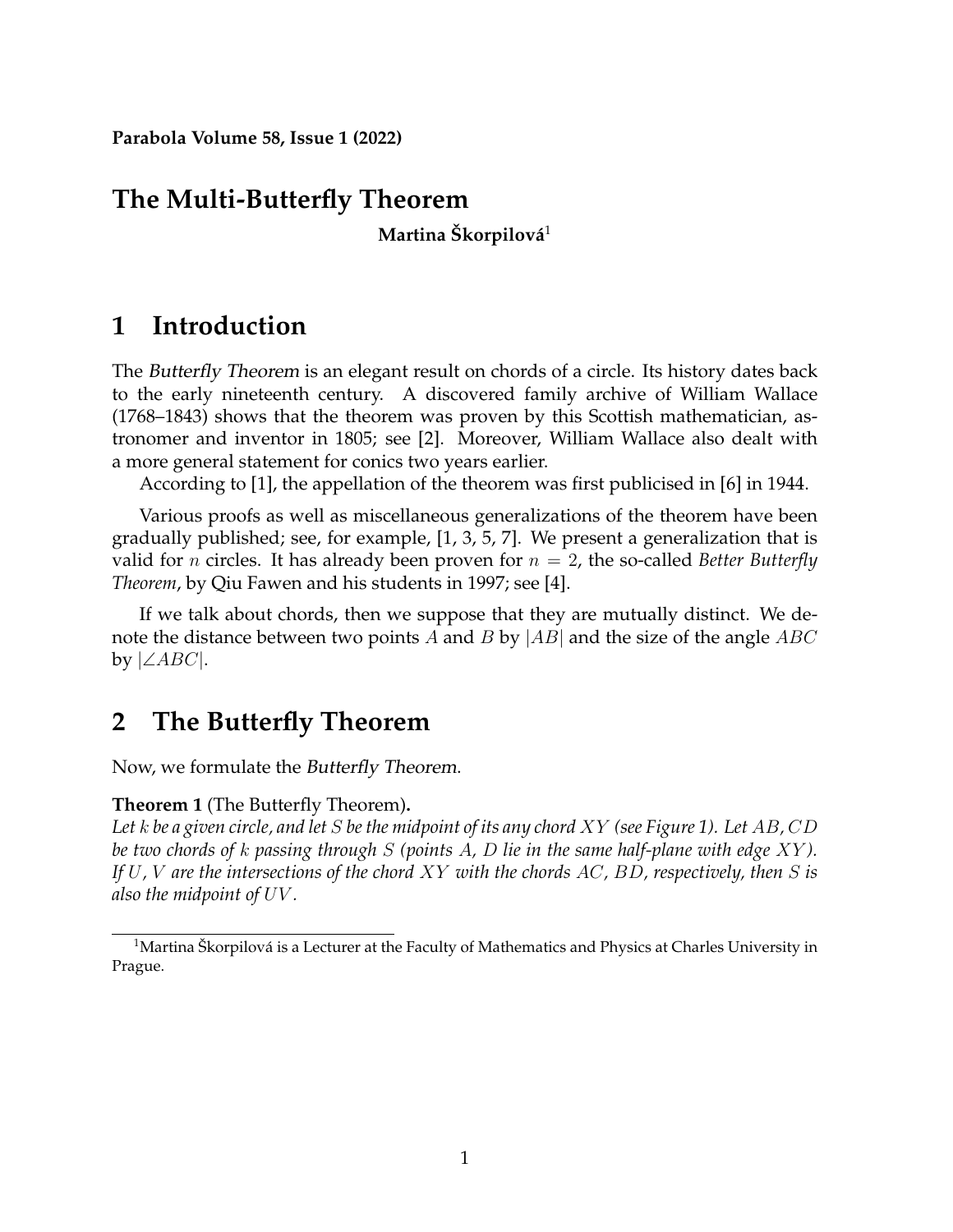**Parabola Volume 58, Issue 1 (2022)**

### **The Multi-Butterfly Theorem**

**Martina** Škorpilová<sup>[1](#page-0-0)</sup>

## **1 Introduction**

The Butterfly Theorem is an elegant result on chords of a circle. Its history dates back to the early nineteenth century. A discovered family archive of William Wallace (1768–1843) shows that the theorem was proven by this Scottish mathematician, astronomer and inventor in 1805; see [\[2\]](#page-7-0). Moreover, William Wallace also dealt with a more general statement for conics two years earlier.

According to [\[1\]](#page-7-1), the appellation of the theorem was first publicised in [\[6\]](#page-8-0) in 1944.

Various proofs as well as miscellaneous generalizations of the theorem have been gradually published; see, for example, [\[1,](#page-7-1) [3,](#page-7-2) [5,](#page-8-1) [7\]](#page-8-2). We present a generalization that is valid for n circles. It has already been proven for n = 2, the so-called *Better Butterfly Theorem*, by Qiu Fawen and his students in 1997; see [\[4\]](#page-8-3).

If we talk about chords, then we suppose that they are mutually distinct. We denote the distance between two points A and B by  $|AB|$  and the size of the angle ABC by  $|\angle ABC|$ .

## **2 The Butterfly Theorem**

Now, we formulate the Butterfly Theorem.

#### **Theorem 1** (The Butterfly Theorem)**.**

*Let* k *be a given circle, and let* S *be the midpoint of its any chord* XY *(see Figure 1). Let* AB*,* CD *be two chords of* k *passing through* S *(points* A*,* D *lie in the same half-plane with edge* XY *). If* U*,* V *are the intersections of the chord* XY *with the chords* AC*,* BD*, respectively, then* S *is also the midpoint of* UV *.*

<span id="page-0-0"></span><sup>&</sup>lt;sup>1</sup>Martina Škorpilová is a Lecturer at the Faculty of Mathematics and Physics at Charles University in Prague.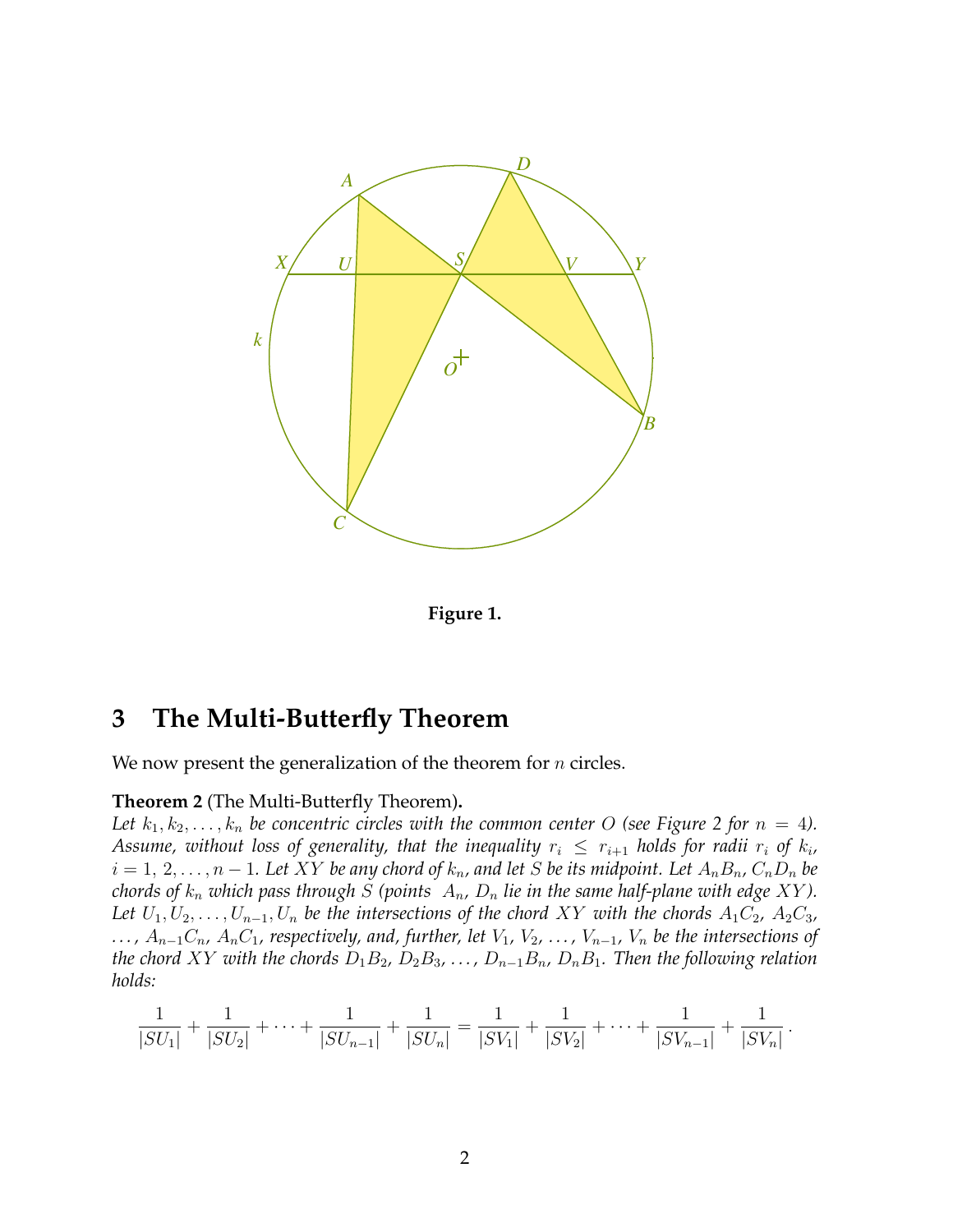

**Figure 1.**

# **3 The Multi-Butterfly Theorem**

We now present the generalization of the theorem for  $n$  circles.

#### **Theorem 2** (The Multi-Butterfly Theorem)**.**

Let  $k_1, k_2, \ldots, k_n$  be concentric circles with the common center O (see Figure 2 for  $n = 4$ ). Assume, without loss of generality, that the inequality  $r_i~\leq~r_{i+1}$  holds for radii  $r_i$  of  $k_i$ ,  $i = 1, 2, \ldots, n - 1$ . Let XY be any chord of  $k_n$ , and let S be its midpoint. Let  $A_n B_n$ ,  $C_n D_n$  be *chords of*  $k_n$  *which pass through S* (points  $A_n$ ,  $D_n$  *lie in the same half-plane with edge XY*). *Let*  $U_1, U_2, \ldots, U_{n-1}, U_n$  *be the intersections of the chord XY with the chords*  $A_1C_2$ ,  $A_2C_3$ ,  $\ldots$ ,  $A_{n-1}C_n$ ,  $A_nC_1$ , respectively, and, further, let  $V_1$ ,  $V_2$ ,  $\ldots$ ,  $V_{n-1}$ ,  $V_n$  be the intersections of *the chord XY with the chords*  $D_1B_2$ ,  $D_2B_3$ , ...,  $D_{n-1}B_n$ ,  $D_nB_1$ . Then the following relation *holds:*

$$
\frac{1}{|SU_1|} + \frac{1}{|SU_2|} + \cdots + \frac{1}{|SU_{n-1}|} + \frac{1}{|SU_n|} = \frac{1}{|SV_1|} + \frac{1}{|SV_2|} + \cdots + \frac{1}{|SV_{n-1}|} + \frac{1}{|SV_n|}.
$$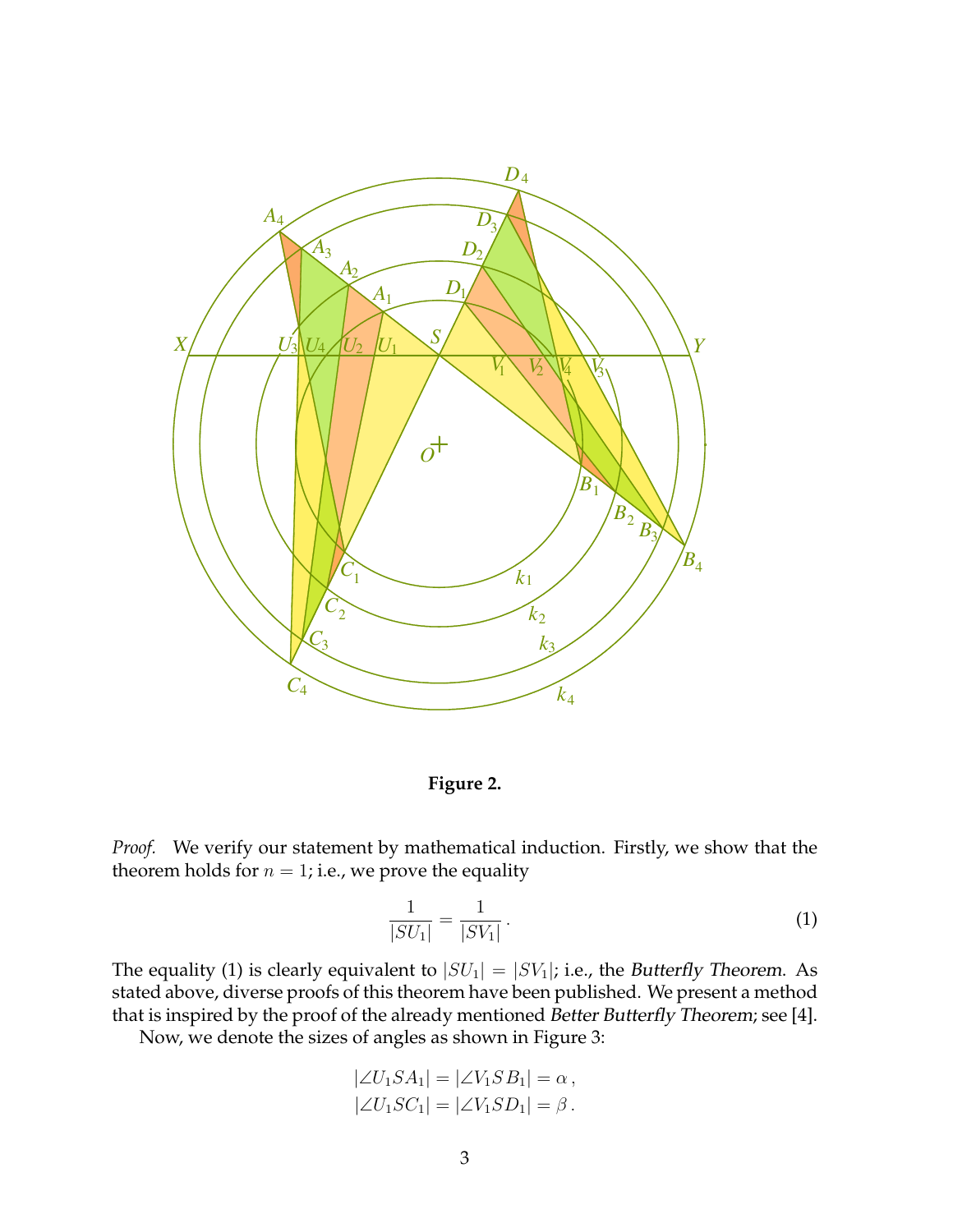

**Figure 2.**

*Proof.* We verify our statement by mathematical induction. Firstly, we show that the theorem holds for  $n = 1$ ; i.e., we prove the equality

<span id="page-2-0"></span>
$$
\frac{1}{|SU_1|} = \frac{1}{|SV_1|} \,. \tag{1}
$$

The equality [\(1\)](#page-2-0) is clearly equivalent to  $|SU_1| = |SV_1|$ ; i.e., the Butterfly Theorem. As stated above, diverse proofs of this theorem have been published. We present a method that is inspired by the proof of the already mentioned Better Butterfly Theorem; see [\[4\]](#page-8-3).

Now, we denote the sizes of angles as shown in Figure 3:

$$
\begin{aligned} \left| \angle U_1 SA_1 \right| &= \left| \angle V_1 SB_1 \right| = \alpha \,, \\ \left| \angle U_1 SC_1 \right| &= \left| \angle V_1 SD_1 \right| = \beta \,. \end{aligned}
$$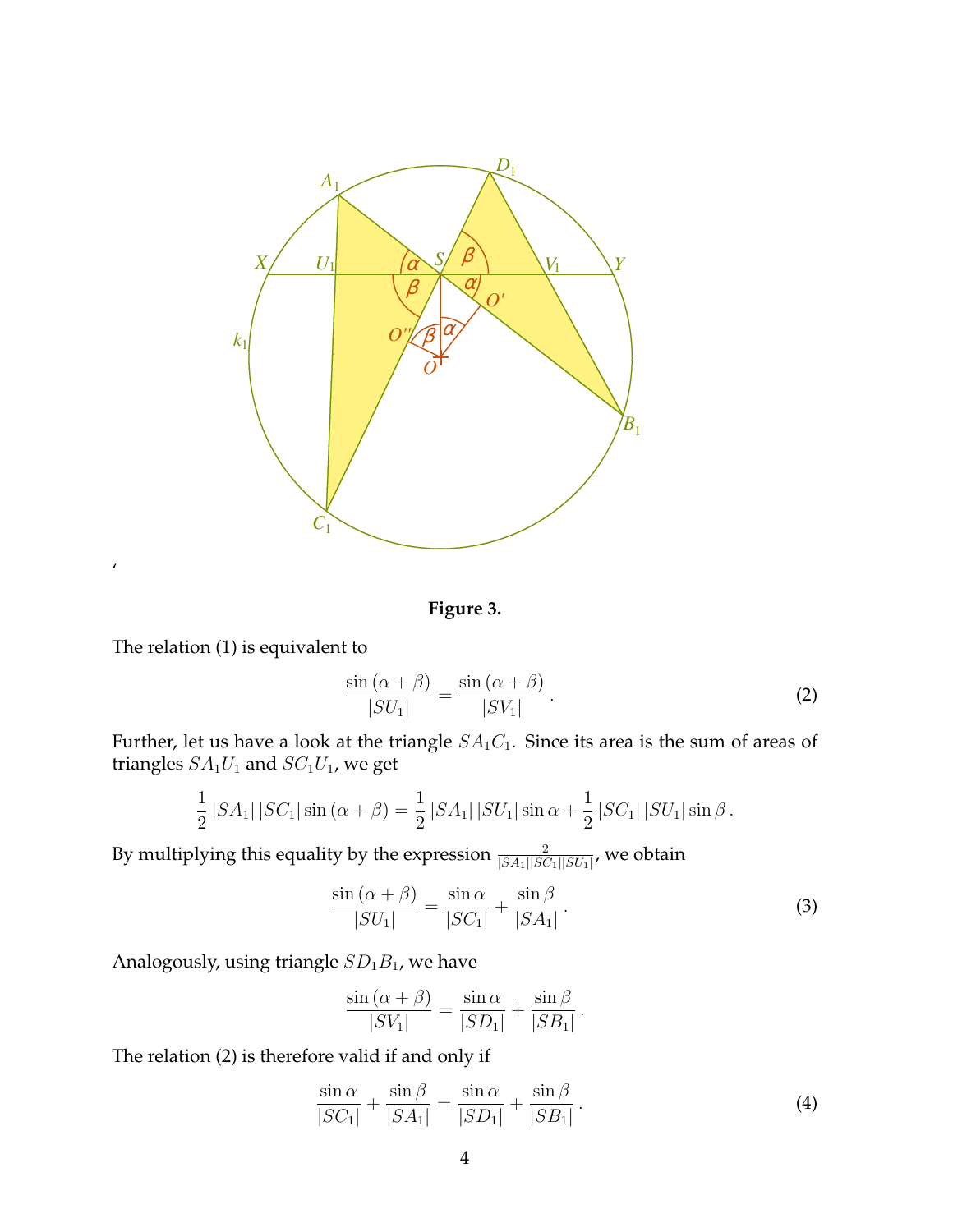

**Figure 3.**

The relation [\(1\)](#page-2-0) is equivalent to

'

<span id="page-3-0"></span>
$$
\frac{\sin\left(\alpha+\beta\right)}{|SU_1|} = \frac{\sin\left(\alpha+\beta\right)}{|SU_1|}.
$$
 (2)

Further, let us have a look at the triangle  $SA_1C_1$ . Since its area is the sum of areas of triangles  $\mathit{SA}_1\mathit{U}_1$  and  $\mathit{SC}_1\mathit{U}_1$  , we get

$$
\frac{1}{2} |SA_1| |SC_1| \sin (\alpha + \beta) = \frac{1}{2} |SA_1| |SU_1| \sin \alpha + \frac{1}{2} |SC_1| |SU_1| \sin \beta.
$$

By multiplying this equality by the expression  $\frac{2}{|SA_1||SC_1||SU_1|}$ , we obtain

<span id="page-3-2"></span>
$$
\frac{\sin\left(\alpha+\beta\right)}{|SU_1|} = \frac{\sin\alpha}{|SC_1|} + \frac{\sin\beta}{|SA_1|}.
$$
\n(3)

Analogously, using triangle  $SD_1B_1$ , we have

$$
\frac{\sin(\alpha + \beta)}{|SV_1|} = \frac{\sin \alpha}{|SD_1|} + \frac{\sin \beta}{|SB_1|}.
$$

The relation [\(2\)](#page-3-0) is therefore valid if and only if

<span id="page-3-1"></span>
$$
\frac{\sin\alpha}{|SC_1|} + \frac{\sin\beta}{|SA_1|} = \frac{\sin\alpha}{|SD_1|} + \frac{\sin\beta}{|SB_1|}.
$$
\n(4)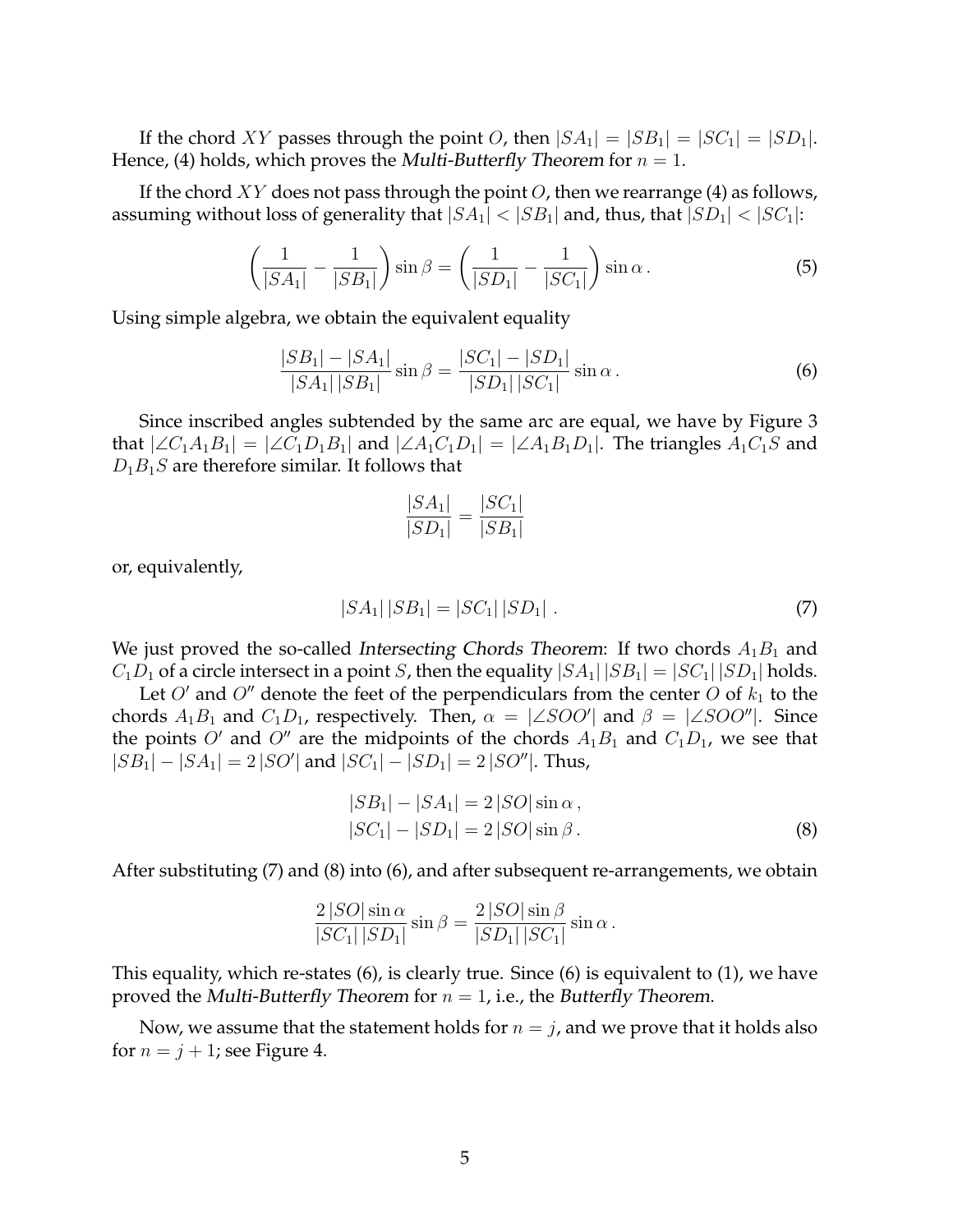If the chord XY passes through the point O, then  $|SA_1| = |SB_1| = |SC_1| = |SD_1|$ . Hence, [\(4\)](#page-3-1) holds, which proves the *Multi-Butterfly Theorem* for  $n = 1$ .

If the chord XY does not pass through the point O, then we rearrange [\(4\)](#page-3-1) as follows, assuming without loss of generality that  $|SA_1| < |SB_1|$  and, thus, that  $|SD_1| < |SC_1|$ :

$$
\left(\frac{1}{|SA_1|} - \frac{1}{|SB_1|}\right) \sin \beta = \left(\frac{1}{|SD_1|} - \frac{1}{|SC_1|}\right) \sin \alpha.
$$
 (5)

Using simple algebra, we obtain the equivalent equality

<span id="page-4-2"></span>
$$
\frac{|SB_1| - |SA_1|}{|SA_1| |SB_1|} \sin \beta = \frac{|SC_1| - |SD_1|}{|SD_1| |SC_1|} \sin \alpha.
$$
 (6)

Since inscribed angles subtended by the same arc are equal, we have by Figure 3 that  $|\angle C_1A_1B_1| = |\angle C_1D_1B_1|$  and  $|\angle A_1C_1D_1| = |\angle A_1B_1D_1|$ . The triangles  $A_1C_1S$  and  $D_1B_1S$  are therefore similar. It follows that

$$
\frac{|SA_1|}{|SD_1|} = \frac{|SC_1|}{|SB_1|}
$$

or, equivalently,

<span id="page-4-0"></span>
$$
|SA_1| |SB_1| = |SC_1| |SD_1| . \tag{7}
$$

We just proved the so-called *Intersecting Chords Theorem*: If two chords  $A_1B_1$  and  $C_1D_1$  of a circle intersect in a point S, then the equality  $|SA_1||SB_1| = |SC_1||SD_1|$  holds.

Let O' and O'' denote the feet of the perpendiculars from the center O of  $k_1$  to the chords  $A_1B_1$  and  $C_1D_1$ , respectively. Then,  $\alpha = |\angle SOO'|$  and  $\beta = |\angle SOO''|$ . Since the points O' and O'' are the midpoints of the chords  $A_1B_1$  and  $C_1D_1$ , we see that  $|SB_1| - |SA_1| = 2 |SO'|$  and  $|SC_1| - |SD_1| = 2 |SO''|$ . Thus,

<span id="page-4-1"></span>
$$
|SB_1| - |SA_1| = 2 |SO| \sin \alpha ,
$$
  
\n
$$
|SC_1| - |SD_1| = 2 |SO| \sin \beta .
$$
 (8)

After substituting [\(7\)](#page-4-0) and [\(8\)](#page-4-1) into [\(6\)](#page-4-2), and after subsequent re-arrangements, we obtain

$$
\frac{2\left|SO\right|\sin\alpha}{\left|SC_1\right|\left|SD_1\right|}\sin\beta = \frac{2\left|SO\right|\sin\beta}{\left|SD_1\right|\left|SC_1\right|}\sin\alpha.
$$

This equality, which re-states [\(6\)](#page-4-2), is clearly true. Since [\(6\)](#page-4-2) is equivalent to [\(1\)](#page-2-0), we have proved the Multi-Butterfly Theorem for  $n = 1$ , i.e., the Butterfly Theorem.

Now, we assume that the statement holds for  $n = j$ , and we prove that it holds also for  $n = j + 1$ ; see Figure 4.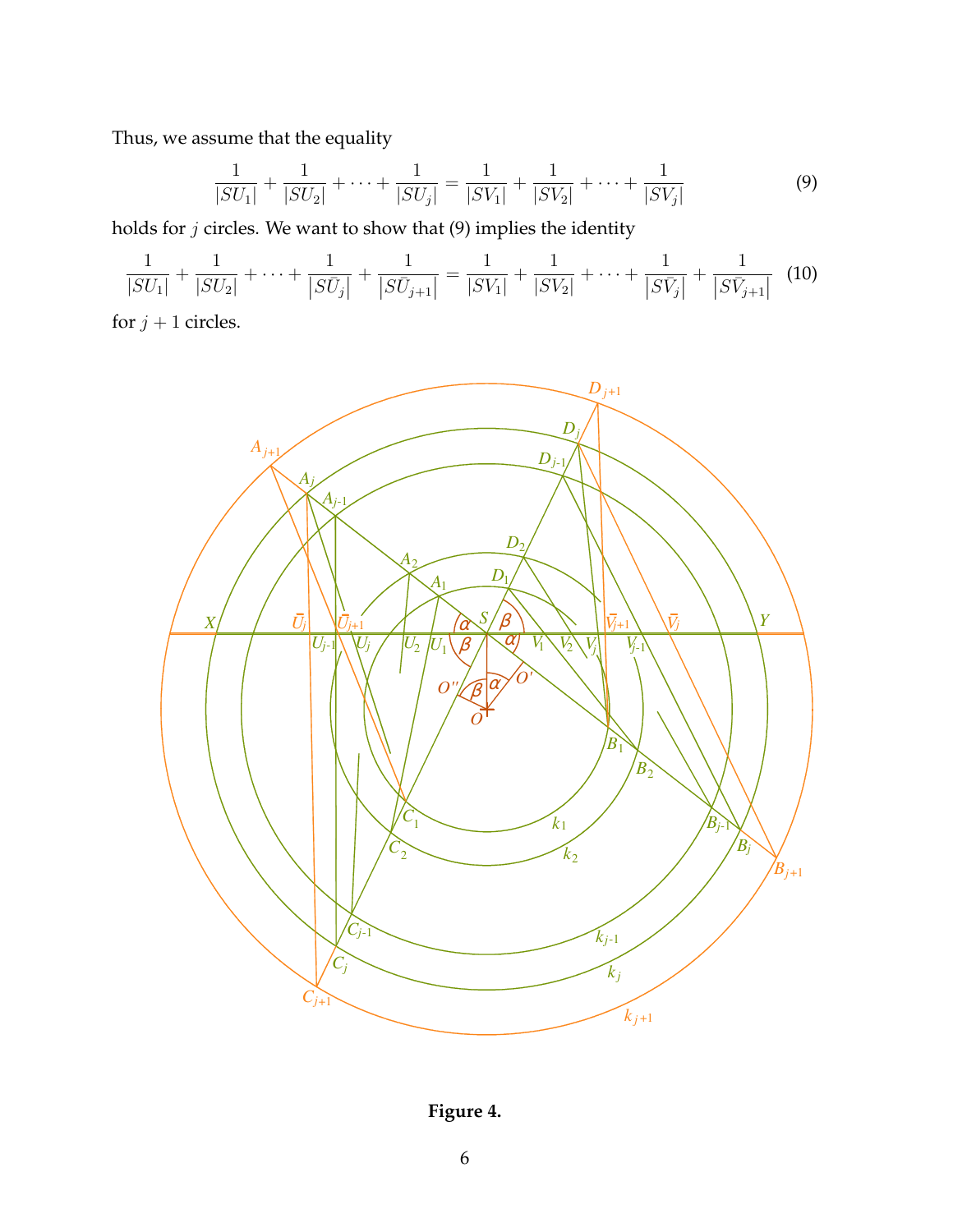Thus, we assume that the equality

<span id="page-5-0"></span>
$$
\frac{1}{|SU_1|} + \frac{1}{|SU_2|} + \dots + \frac{1}{|SU_j|} = \frac{1}{|SV_1|} + \frac{1}{|SV_2|} + \dots + \frac{1}{|SV_j|}
$$
(9)

holds for  $j$  circles. We want to show that  $(9)$  implies the identity

<span id="page-5-1"></span>
$$
\frac{1}{|SU_1|} + \frac{1}{|SU_2|} + \dots + \frac{1}{|S\bar{U}_j|} + \frac{1}{|S\bar{U}_{j+1}|} = \frac{1}{|SV_1|} + \frac{1}{|SV_2|} + \dots + \frac{1}{|S\bar{V}_j|} + \frac{1}{|S\bar{V}_{j+1}|} \tag{10}
$$

for  $j + 1$  circles.



**Figure 4.**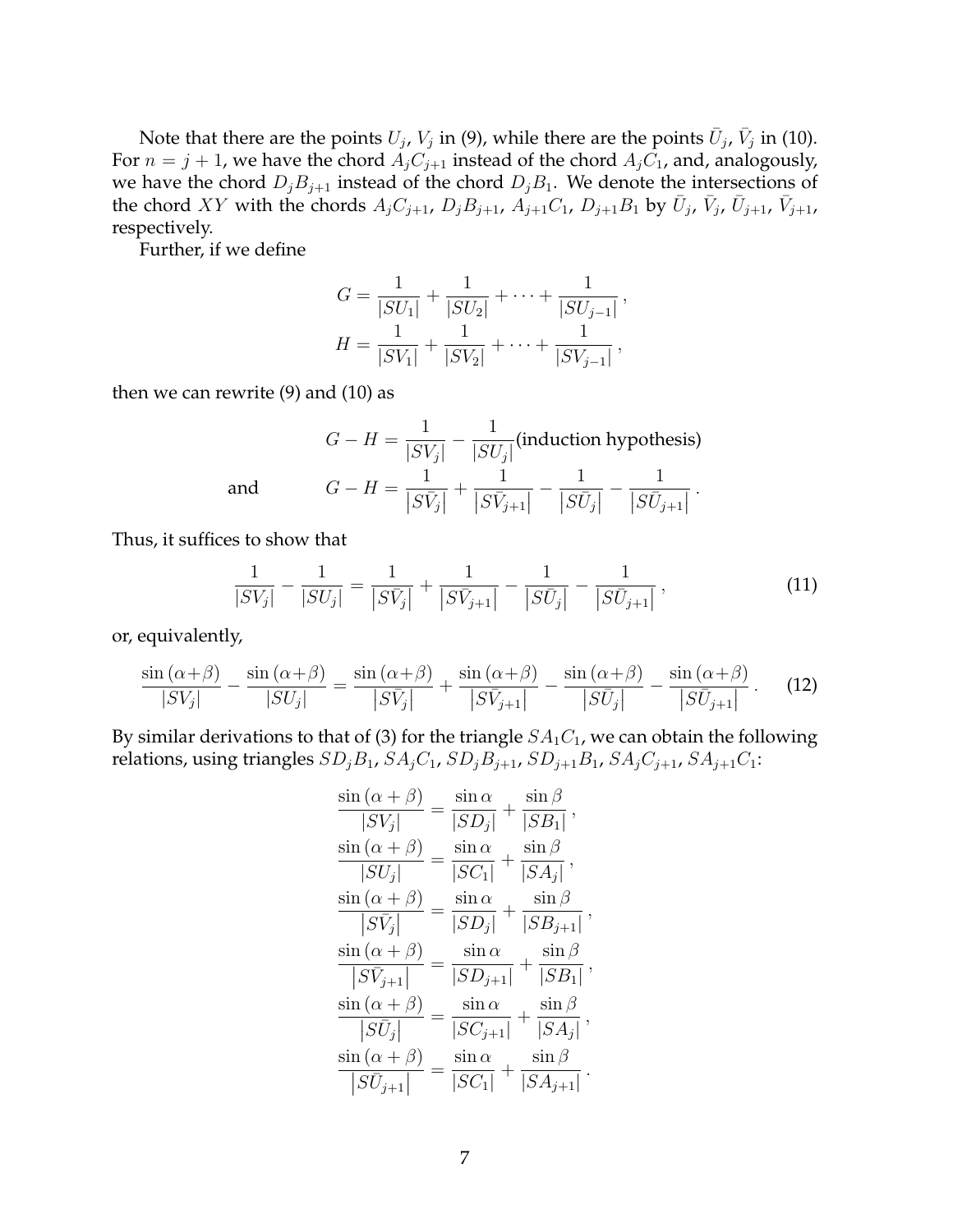Note that there are the points  $U_j$ ,  $V_j$  in [\(9\)](#page-5-0), while there are the points  $\bar{U}_j$ ,  $\bar{V}_j$  in [\(10\)](#page-5-1). For  $n = j + 1$ , we have the chord  $A_j C_{j+1}$  instead of the chord  $A_j C_1$ , and, analogously, we have the chord  $D_jB_{j+1}$  instead of the chord  $D_jB_1$ . We denote the intersections of the chord XY with the chords  $A_j C_{j+1}$ ,  $D_j B_{j+1}$ ,  $A_{j+1} C_1$ ,  $D_{j+1} B_1$  by  $\bar{U}_j$ ,  $\bar{V}_j$ ,  $\bar{U}_{j+1}$ ,  $\bar{V}_{j+1}$ , respectively.

Further, if we define

$$
G = \frac{1}{|SU_1|} + \frac{1}{|SU_2|} + \dots + \frac{1}{|SU_{j-1}|},
$$
  

$$
H = \frac{1}{|SV_1|} + \frac{1}{|SV_2|} + \dots + \frac{1}{|SV_{j-1}|},
$$

then we can rewrite  $(9)$  and  $(10)$  as

$$
G - H = \frac{1}{|SV_j|} - \frac{1}{|SU_j|} \text{(induction hypothesis)}
$$
  
and 
$$
G - H = \frac{1}{|S\bar{V}_j|} + \frac{1}{|S\bar{V}_{j+1}|} - \frac{1}{|S\bar{U}_j|} - \frac{1}{|S\bar{U}_{j+1}|}.
$$

Thus, it suffices to show that

<span id="page-6-1"></span>
$$
\frac{1}{|SV_j|} - \frac{1}{|SU_j|} = \frac{1}{|S\bar{V}_j|} + \frac{1}{|S\bar{V}_{j+1}|} - \frac{1}{|S\bar{U}_j|} - \frac{1}{|S\bar{U}_{j+1}|},
$$
\n(11)

or, equivalently,

<span id="page-6-0"></span>
$$
\frac{\sin\left(\alpha+\beta\right)}{|SV_j|} - \frac{\sin\left(\alpha+\beta\right)}{|SU_j|} = \frac{\sin\left(\alpha+\beta\right)}{|SV_j|} + \frac{\sin\left(\alpha+\beta\right)}{|SV_{j+1}|} - \frac{\sin\left(\alpha+\beta\right)}{|SU_j|} - \frac{\sin\left(\alpha+\beta\right)}{|SU_{j+1}|}.
$$
 (12)

By similar derivations to that of [\(3\)](#page-3-2) for the triangle  $SA<sub>1</sub>C<sub>1</sub>$ , we can obtain the following relations, using triangles  $SD_jB_1$ ,  $SA_jC_1$ ,  $SD_jB_{j+1}$ ,  $SD_{j+1}B_1$ ,  $SA_jC_{j+1}$ ,  $SA_{j+1}C_1$ :

$$
\frac{\sin (\alpha + \beta)}{|SV_j|} = \frac{\sin \alpha}{|SD_j|} + \frac{\sin \beta}{|SB_1|},
$$
  
\n
$$
\frac{\sin (\alpha + \beta)}{|SU_j|} = \frac{\sin \alpha}{|SC_1|} + \frac{\sin \beta}{|SA_j|},
$$
  
\n
$$
\frac{\sin (\alpha + \beta)}{|SV_j|} = \frac{\sin \alpha}{|SD_j|} + \frac{\sin \beta}{|SB_{j+1}|},
$$
  
\n
$$
\frac{\sin (\alpha + \beta)}{|SV_{j+1}|} = \frac{\sin \alpha}{|SD_{j+1}|} + \frac{\sin \beta}{|SB_1|},
$$
  
\n
$$
\frac{\sin (\alpha + \beta)}{|SU_j|} = \frac{\sin \alpha}{|SC_{j+1}|} + \frac{\sin \beta}{|SA_j|},
$$
  
\n
$$
\frac{\sin (\alpha + \beta)}{|SU_{j+1}|} = \frac{\sin \alpha}{|SC_1|} + \frac{\sin \beta}{|SA_{j+1}|}.
$$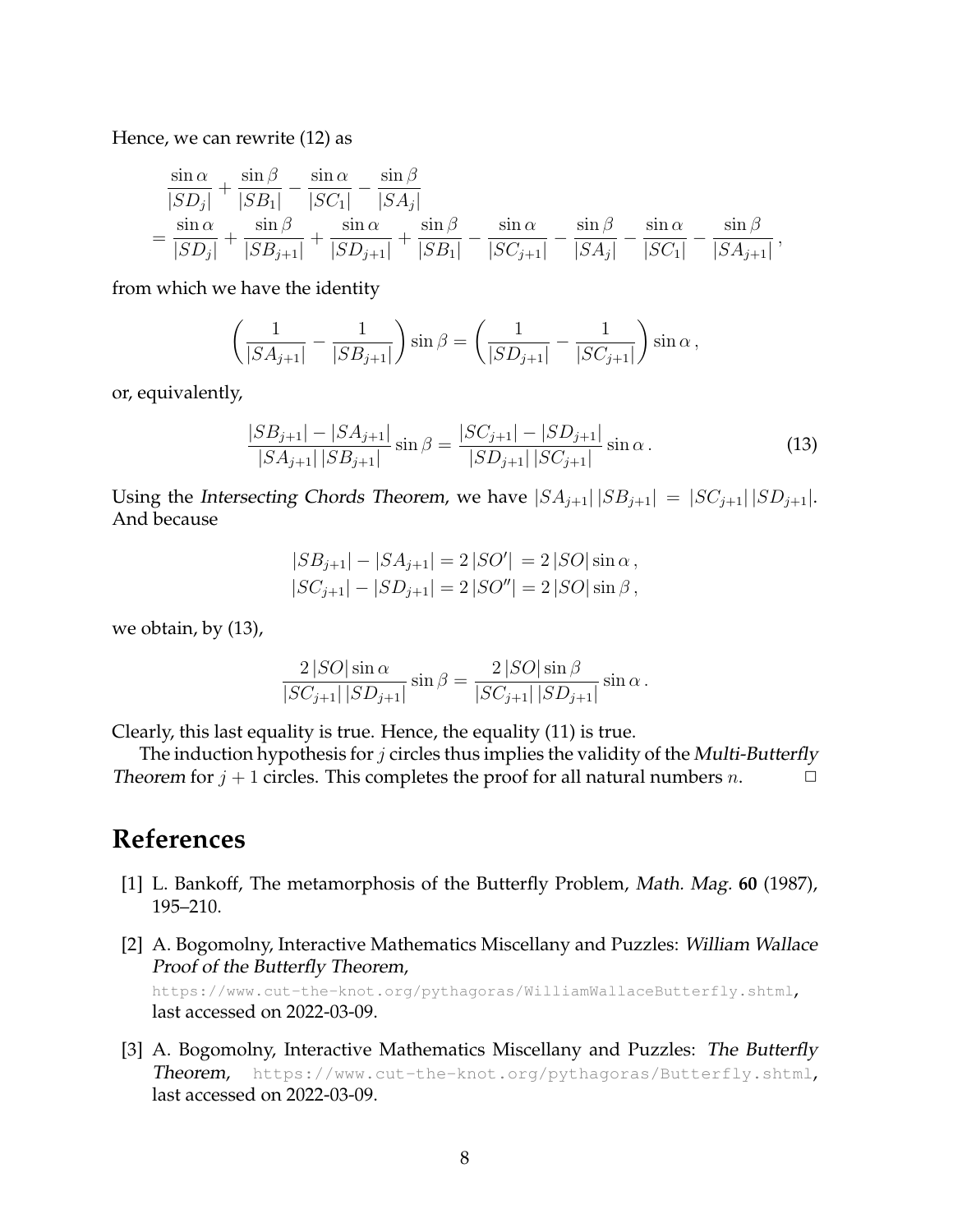Hence, we can rewrite [\(12\)](#page-6-0) as

$$
\frac{\sin \alpha}{|SD_j|} + \frac{\sin \beta}{|SB_1|} - \frac{\sin \alpha}{|SC_1|} - \frac{\sin \beta}{|SA_j|} \n= \frac{\sin \alpha}{|SD_j|} + \frac{\sin \beta}{|SB_{j+1}|} + \frac{\sin \alpha}{|SD_{j+1}|} + \frac{\sin \beta}{|SB_1|} - \frac{\sin \alpha}{|SC_{j+1}|} - \frac{\sin \beta}{|SA_j|} - \frac{\sin \alpha}{|SC_1|} - \frac{\sin \beta}{|SA_{j+1}|},
$$

from which we have the identity

$$
\left(\frac{1}{|SA_{j+1}|} - \frac{1}{|SB_{j+1}|}\right) \sin \beta = \left(\frac{1}{|SD_{j+1}|} - \frac{1}{|SC_{j+1}|}\right) \sin \alpha,
$$

or, equivalently,

<span id="page-7-3"></span>
$$
\frac{|SB_{j+1}| - |SA_{j+1}|}{|SA_{j+1}| |SB_{j+1}|} \sin \beta = \frac{|SC_{j+1}| - |SD_{j+1}|}{|SD_{j+1}| |SC_{j+1}|} \sin \alpha.
$$
 (13)

Using the Intersecting Chords Theorem, we have  $|SA_{i+1}| |SB_{i+1}| = |SC_{i+1}| |SD_{i+1}|$ . And because

$$
|SB_{j+1}| - |SA_{j+1}| = 2 |SO'| = 2 |SO| \sin \alpha ,
$$
  
\n
$$
|SC_{j+1}| - |SD_{j+1}| = 2 |SO''| = 2 |SO| \sin \beta ,
$$

we obtain, by [\(13\)](#page-7-3),

$$
\frac{2|SO|\sin\alpha}{|SC_{j+1}||SD_{j+1}|}\sin\beta = \frac{2|SO|\sin\beta}{|SC_{j+1}||SD_{j+1}|}\sin\alpha.
$$

Clearly, this last equality is true. Hence, the equality [\(11\)](#page-6-1) is true.

The induction hypothesis for  $j$  circles thus implies the validity of the Multi-Butterfly Theorem for  $j + 1$  circles. This completes the proof for all natural numbers  $n$ .  $\Box$ 

## **References**

- <span id="page-7-1"></span>[1] L. Bankoff, The metamorphosis of the Butterfly Problem, Math. Mag. **60** (1987), 195–210.
- <span id="page-7-0"></span>[2] A. Bogomolny, Interactive Mathematics Miscellany and Puzzles: William Wallace Proof of the Butterfly Theorem, <https://www.cut-the-knot.org/pythagoras/WilliamWallaceButterfly.shtml>, last accessed on 2022-03-09.
- <span id="page-7-2"></span>[3] A. Bogomolny, Interactive Mathematics Miscellany and Puzzles: The Butterfly Theorem, <https://www.cut-the-knot.org/pythagoras/Butterfly.shtml>, last accessed on 2022-03-09.